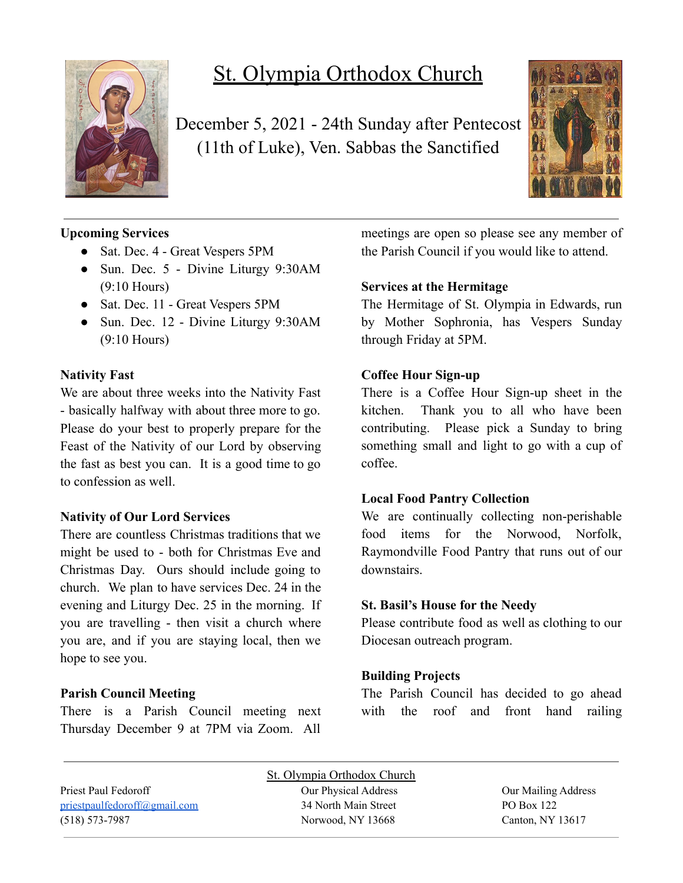

# St. Olympia Orthodox Church

December 5, 2021 - 24th Sunday after Pentecost (11th of Luke), Ven. Sabbas the Sanctified



## **Upcoming Services**

- Sat. Dec. 4 Great Vespers 5PM
- Sun. Dec. 5 Divine Liturgy 9:30AM (9:10 Hours)
- Sat. Dec. 11 Great Vespers 5PM
- Sun. Dec. 12 Divine Liturgy 9:30AM (9:10 Hours)

#### **Nativity Fast**

We are about three weeks into the Nativity Fast - basically halfway with about three more to go. Please do your best to properly prepare for the Feast of the Nativity of our Lord by observing the fast as best you can. It is a good time to go to confession as well.

### **Nativity of Our Lord Services**

There are countless Christmas traditions that we might be used to - both for Christmas Eve and Christmas Day. Ours should include going to church. We plan to have services Dec. 24 in the evening and Liturgy Dec. 25 in the morning. If you are travelling - then visit a church where you are, and if you are staying local, then we hope to see you.

### **Parish Council Meeting**

There is a Parish Council meeting next Thursday December 9 at 7PM via Zoom. All

meetings are open so please see any member of the Parish Council if you would like to attend.

### **Services at the Hermitage**

The Hermitage of St. Olympia in Edwards, run by Mother Sophronia, has Vespers Sunday through Friday at 5PM.

### **Coffee Hour Sign-up**

There is a Coffee Hour Sign-up sheet in the kitchen. Thank you to all who have been contributing. Please pick a Sunday to bring something small and light to go with a cup of coffee.

### **Local Food Pantry Collection**

We are continually collecting non-perishable food items for the Norwood, Norfolk, Raymondville Food Pantry that runs out of our downstairs.

#### **St. Basil's House for the Needy**

Please contribute food as well as clothing to our Diocesan outreach program.

### **Building Projects**

The Parish Council has decided to go ahead with the roof and front hand railing

|                               | St. Olympia Orthodox Church |                     |
|-------------------------------|-----------------------------|---------------------|
| Priest Paul Fedoroff          | Our Physical Address        | Our Mailing Address |
| priest paulfedoroff@gmail.com | 34 North Main Street        | PO Box 122          |
| $(518) 573 - 7987$            | Norwood, NY 13668           | Canton, NY 13617    |